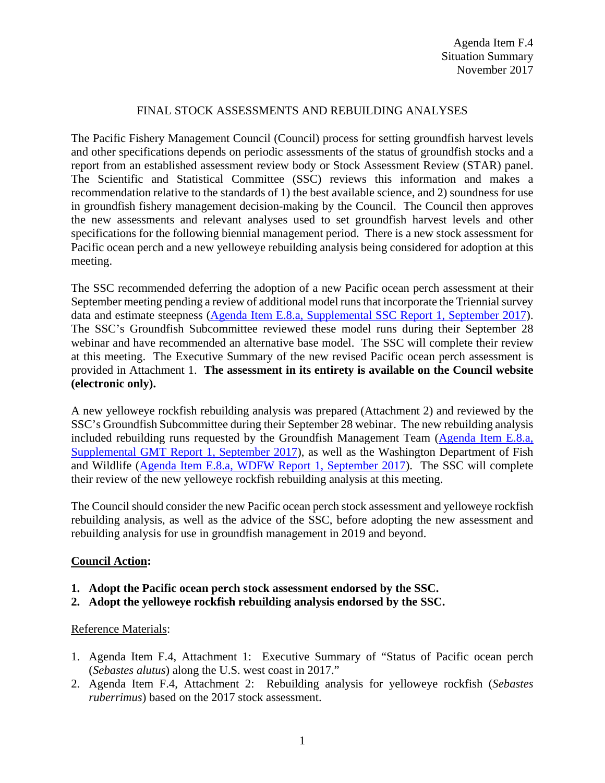## FINAL STOCK ASSESSMENTS AND REBUILDING ANALYSES

The Pacific Fishery Management Council (Council) process for setting groundfish harvest levels and other specifications depends on periodic assessments of the status of groundfish stocks and a report from an established assessment review body or Stock Assessment Review (STAR) panel. The Scientific and Statistical Committee (SSC) reviews this information and makes a recommendation relative to the standards of 1) the best available science, and 2) soundness for use in groundfish fishery management decision-making by the Council. The Council then approves the new assessments and relevant analyses used to set groundfish harvest levels and other specifications for the following biennial management period. There is a new stock assessment for Pacific ocean perch and a new yelloweye rebuilding analysis being considered for adoption at this meeting.

The SSC recommended deferring the adoption of a new Pacific ocean perch assessment at their September meeting pending a review of additional model runs that incorporate the Triennial survey data and estimate steepness [\(Agenda Item E.8.a, Supplemental SSC Report 1, September 2017\)](https://www.pcouncil.org/wp-content/uploads/2017/09/E8a_Sup_SSC_Rpt1_Stock_Assessments_SEPT2017BB.pdf). The SSC's Groundfish Subcommittee reviewed these model runs during their September 28 webinar and have recommended an alternative base model. The SSC will complete their review at this meeting. The Executive Summary of the new revised Pacific ocean perch assessment is provided in Attachment 1. **The assessment in its entirety is available on the Council website (electronic only).** 

A new yelloweye rockfish rebuilding analysis was prepared (Attachment 2) and reviewed by the SSC's Groundfish Subcommittee during their September 28 webinar. The new rebuilding analysis included rebuilding runs requested by the Groundfish Management Team [\(Agenda Item E.8.a,](https://www.pcouncil.org/wp-content/uploads/2017/09/E8a_Sup_GMT_Rpt1_Stock_Assessments_SEPT2017BB.pdf)  [Supplemental GMT Report 1, September 2017\)](https://www.pcouncil.org/wp-content/uploads/2017/09/E8a_Sup_GMT_Rpt1_Stock_Assessments_SEPT2017BB.pdf), as well as the Washington Department of Fish and Wildlife [\(Agenda Item E.8.a, WDFW](https://www.pcouncil.org/wp-content/uploads/2017/08/E8a_WDFW_Rpt1_SEPT2017BB.pdf) Report 1, September 2017). The SSC will complete their review of the new yelloweye rockfish rebuilding analysis at this meeting.

The Council should consider the new Pacific ocean perch stock assessment and yelloweye rockfish rebuilding analysis, as well as the advice of the SSC, before adopting the new assessment and rebuilding analysis for use in groundfish management in 2019 and beyond.

## **Council Action:**

- **1. Adopt the Pacific ocean perch stock assessment endorsed by the SSC.**
- **2. Adopt the yelloweye rockfish rebuilding analysis endorsed by the SSC.**

## Reference Materials:

- 1. Agenda Item F.4, Attachment 1: Executive Summary of "Status of Pacific ocean perch (*Sebastes alutus*) along the U.S. west coast in 2017."
- 2. Agenda Item F.4, Attachment 2: Rebuilding analysis for yelloweye rockfish (*Sebastes ruberrimus*) based on the 2017 stock assessment.